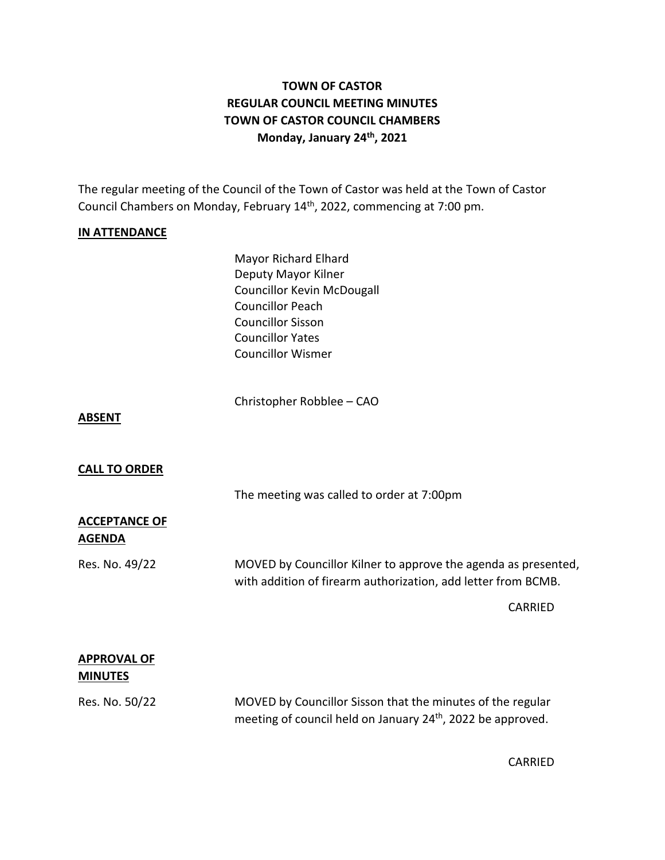# **TOWN OF CASTOR REGULAR COUNCIL MEETING MINUTES TOWN OF CASTOR COUNCIL CHAMBERS Monday, January 24th , 2021**

The regular meeting of the Council of the Town of Castor was held at the Town of Castor Council Chambers on Monday, February 14<sup>th</sup>, 2022, commencing at 7:00 pm.

## **IN ATTENDANCE**

Mayor Richard Elhard Deputy Mayor Kilner Councillor Kevin McDougall Councillor Peach Councillor Sisson Councillor Yates Councillor Wismer

Christopher Robblee – CAO

#### **ABSENT**

## **CALL TO ORDER**

The meeting was called to order at 7:00pm

## **ACCEPTANCE OF AGENDA**

Res. No. 49/22 MOVED by Councillor Kilner to approve the agenda as presented, with addition of firearm authorization, add letter from BCMB.

CARRIED

## **APPROVAL OF MINUTES**

Res. No. 50/22 MOVED by Councillor Sisson that the minutes of the regular meeting of council held on January 24<sup>th</sup>, 2022 be approved.

CARRIED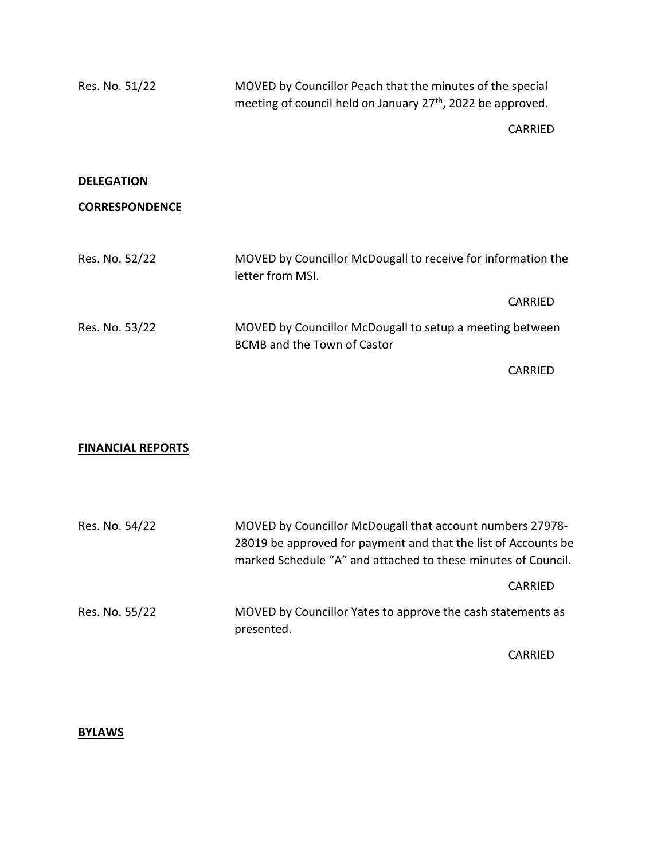Res. No. 51/22 MOVED by Councillor Peach that the minutes of the special meeting of council held on January 27<sup>th</sup>, 2022 be approved.

CARRIED

#### **DELEGATION**

## **CORRESPONDENCE**

| Res. No. 52/22 | MOVED by Councillor McDougall to receive for information the<br>letter from MSI.               |  |
|----------------|------------------------------------------------------------------------------------------------|--|
|                | CARRIED                                                                                        |  |
| Res. No. 53/22 | MOVED by Councillor McDougall to setup a meeting between<br><b>BCMB</b> and the Town of Castor |  |
|                | CARRIED                                                                                        |  |

## **FINANCIAL REPORTS**

| Res. No. 54/22 | MOVED by Councillor McDougall that account numbers 27978-<br>28019 be approved for payment and that the list of Accounts be<br>marked Schedule "A" and attached to these minutes of Council. |
|----------------|----------------------------------------------------------------------------------------------------------------------------------------------------------------------------------------------|
|                | CARRIED                                                                                                                                                                                      |
| Res. No. 55/22 | MOVED by Councillor Yates to approve the cash statements as<br>presented.                                                                                                                    |

CARRIED

#### **BYLAWS**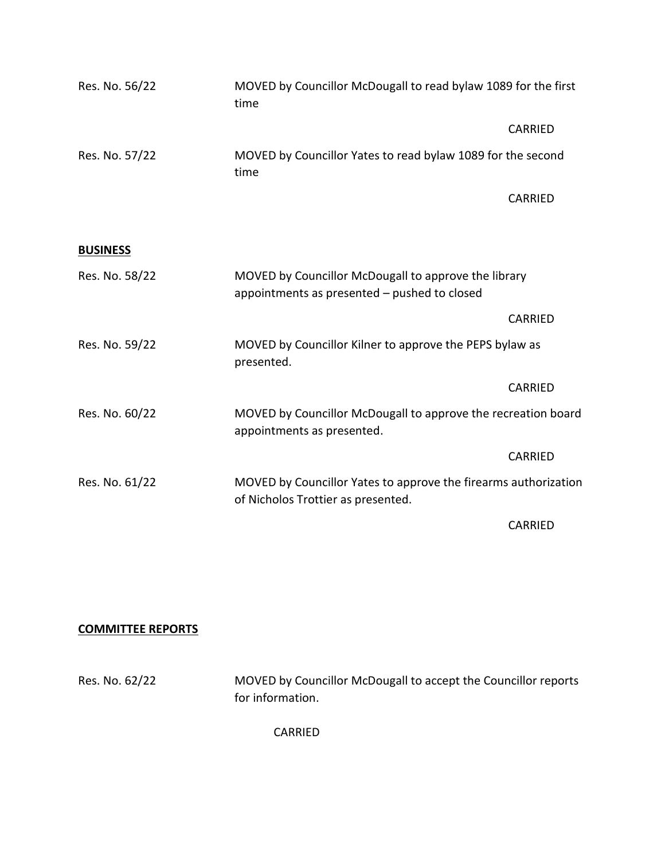| Res. No. 56/22  | MOVED by Councillor McDougall to read bylaw 1089 for the first<br>time                                |                |
|-----------------|-------------------------------------------------------------------------------------------------------|----------------|
|                 |                                                                                                       | <b>CARRIED</b> |
| Res. No. 57/22  | MOVED by Councillor Yates to read bylaw 1089 for the second<br>time                                   |                |
|                 |                                                                                                       | <b>CARRIED</b> |
| <b>BUSINESS</b> |                                                                                                       |                |
| Res. No. 58/22  | MOVED by Councillor McDougall to approve the library<br>appointments as presented - pushed to closed  |                |
|                 |                                                                                                       | <b>CARRIED</b> |
| Res. No. 59/22  | MOVED by Councillor Kilner to approve the PEPS bylaw as<br>presented.                                 |                |
|                 |                                                                                                       | <b>CARRIED</b> |
| Res. No. 60/22  | MOVED by Councillor McDougall to approve the recreation board<br>appointments as presented.           |                |
|                 |                                                                                                       | <b>CARRIED</b> |
| Res. No. 61/22  | MOVED by Councillor Yates to approve the firearms authorization<br>of Nicholos Trottier as presented. |                |
|                 |                                                                                                       | <b>CARRIED</b> |

# **COMMITTEE REPORTS**

Res. No. 62/22 MOVED by Councillor McDougall to accept the Councillor reports for information.

CARRIED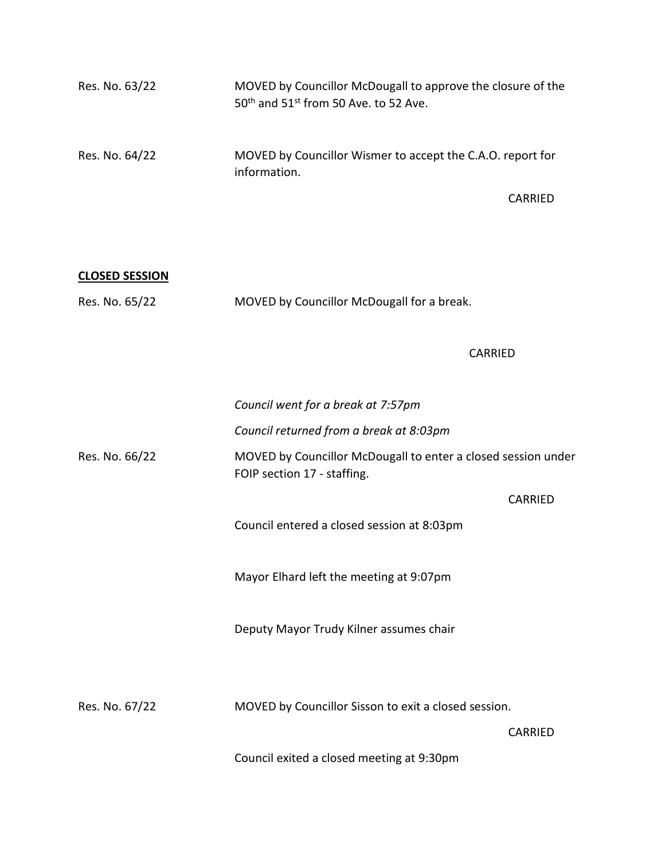| $50th$ and $51st$ from 50 Ave. to 52 Ave.                                  |                                                             |
|----------------------------------------------------------------------------|-------------------------------------------------------------|
| MOVED by Councillor Wismer to accept the C.A.O. report for<br>information. |                                                             |
|                                                                            | CARRIED                                                     |
|                                                                            | MOVED by Councillor McDougall to approve the closure of the |

| <b>CLOSED SESSION</b> |                                            |
|-----------------------|--------------------------------------------|
| Res. No. 65/22        | MOVED by Councillor McDougall for a break. |

## CARRIED

|                | Council went for a break at 7:57pm                                                           |                |
|----------------|----------------------------------------------------------------------------------------------|----------------|
|                | Council returned from a break at 8:03pm                                                      |                |
| Res. No. 66/22 | MOVED by Councillor McDougall to enter a closed session under<br>FOIP section 17 - staffing. |                |
|                |                                                                                              | CARRIED        |
|                | Council entered a closed session at 8:03pm                                                   |                |
|                | Mayor Elhard left the meeting at 9:07pm                                                      |                |
|                | Deputy Mayor Trudy Kilner assumes chair                                                      |                |
| Res. No. 67/22 | MOVED by Councillor Sisson to exit a closed session.                                         |                |
|                |                                                                                              | <b>CARRIED</b> |
|                |                                                                                              |                |

Council exited a closed meeting at 9:30pm